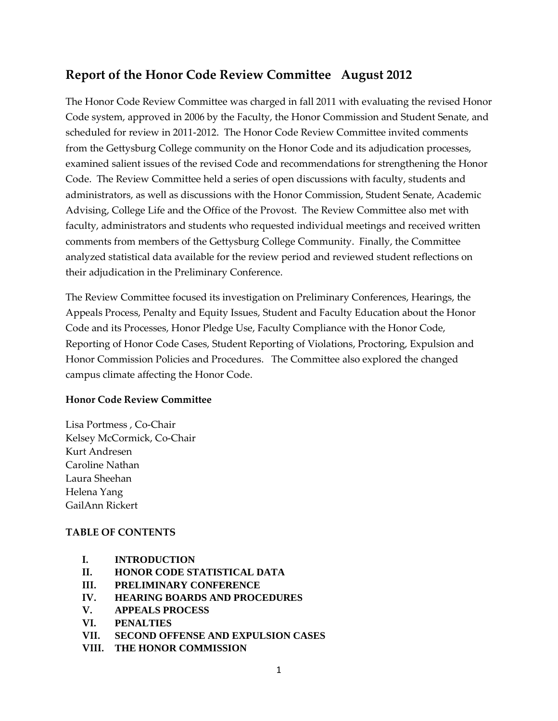# **Report of the Honor Code Review Committee August 2012**

The Honor Code Review Committee was charged in fall 2011 with evaluating the revised Honor Code system, approved in 2006 by the Faculty, the Honor Commission and Student Senate, and scheduled for review in 2011-2012. The Honor Code Review Committee invited comments from the Gettysburg College community on the Honor Code and its adjudication processes, examined salient issues of the revised Code and recommendations for strengthening the Honor Code. The Review Committee held a series of open discussions with faculty, students and administrators, as well as discussions with the Honor Commission, Student Senate, Academic Advising, College Life and the Office of the Provost. The Review Committee also met with faculty, administrators and students who requested individual meetings and received written comments from members of the Gettysburg College Community. Finally, the Committee analyzed statistical data available for the review period and reviewed student reflections on their adjudication in the Preliminary Conference.

The Review Committee focused its investigation on Preliminary Conferences, Hearings, the Appeals Process, Penalty and Equity Issues, Student and Faculty Education about the Honor Code and its Processes, Honor Pledge Use, Faculty Compliance with the Honor Code, Reporting of Honor Code Cases, Student Reporting of Violations, Proctoring, Expulsion and Honor Commission Policies and Procedures. The Committee also explored the changed campus climate affecting the Honor Code.

### **Honor Code Review Committee**

Lisa Portmess , Co-Chair Kelsey McCormick, Co-Chair Kurt Andresen Caroline Nathan Laura Sheehan Helena Yang GailAnn Rickert

### **TABLE OF CONTENTS**

- **I. INTRODUCTION**
- **II. HONOR CODE STATISTICAL DATA**
- **III. PRELIMINARY CONFERENCE**
- **IV. HEARING BOARDS AND PROCEDURES**
- **V. APPEALS PROCESS**
- **VI. PENALTIES**
- **VII. SECOND OFFENSE AND EXPULSION CASES**
- **VIII. THE HONOR COMMISSION**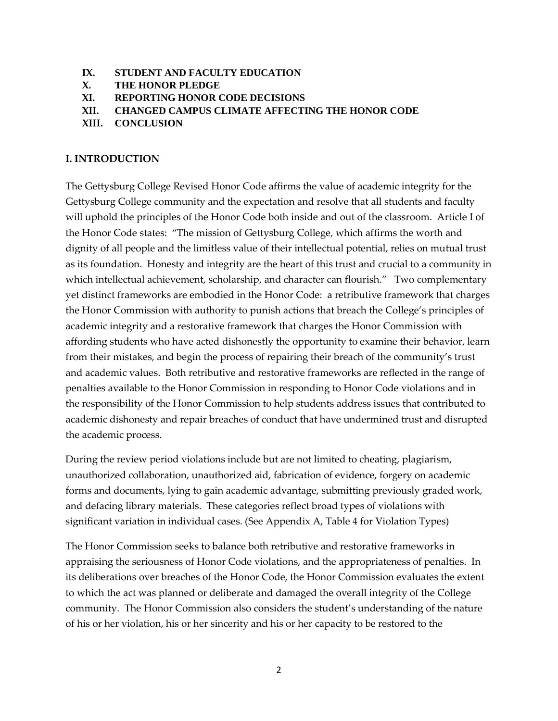- **IX. STUDENT AND FACULTY EDUCATION**
- **X. THE HONOR PLEDGE**
- **XI. REPORTING HONOR CODE DECISIONS**
- **XII. CHANGED CAMPUS CLIMATE AFFECTING THE HONOR CODE**
- **XIII. CONCLUSION**

#### **I. INTRODUCTION**

The Gettysburg College Revised Honor Code affirms the value of academic integrity for the Gettysburg College community and the expectation and resolve that all students and faculty will uphold the principles of the Honor Code both inside and out of the classroom. Article I of the Honor Code states: "The mission of Gettysburg College, which affirms the worth and dignity of all people and the limitless value of their intellectual potential, relies on mutual trust as its foundation. Honesty and integrity are the heart of this trust and crucial to a community in which intellectual achievement, scholarship, and character can flourish." Two complementary yet distinct frameworks are embodied in the Honor Code: a retributive framework that charges the Honor Commission with authority to punish actions that breach the College's principles of academic integrity and a restorative framework that charges the Honor Commission with affording students who have acted dishonestly the opportunity to examine their behavior, learn from their mistakes, and begin the process of repairing their breach of the community's trust and academic values. Both retributive and restorative frameworks are reflected in the range of penalties available to the Honor Commission in responding to Honor Code violations and in the responsibility of the Honor Commission to help students address issues that contributed to academic dishonesty and repair breaches of conduct that have undermined trust and disrupted the academic process.

During the review period violations include but are not limited to cheating, plagiarism, unauthorized collaboration, unauthorized aid, fabrication of evidence, forgery on academic forms and documents, lying to gain academic advantage, submitting previously graded work, and defacing library materials. These categories reflect broad types of violations with significant variation in individual cases. (See Appendix A, Table 4 for Violation Types)

The Honor Commission seeks to balance both retributive and restorative frameworks in appraising the seriousness of Honor Code violations, and the appropriateness of penalties. In its deliberations over breaches of the Honor Code, the Honor Commission evaluates the extent to which the act was planned or deliberate and damaged the overall integrity of the College community. The Honor Commission also considers the student's understanding of the nature of his or her violation, his or her sincerity and his or her capacity to be restored to the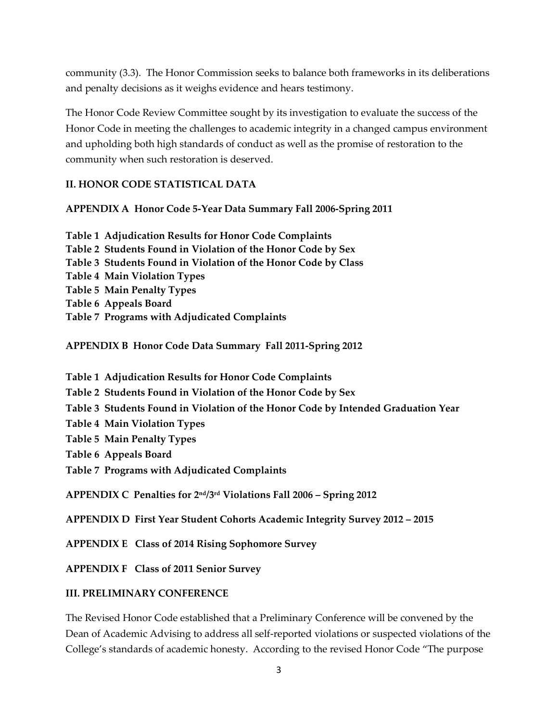community (3.3). The Honor Commission seeks to balance both frameworks in its deliberations and penalty decisions as it weighs evidence and hears testimony.

The Honor Code Review Committee sought by its investigation to evaluate the success of the Honor Code in meeting the challenges to academic integrity in a changed campus environment and upholding both high standards of conduct as well as the promise of restoration to the community when such restoration is deserved.

### **II. HONOR CODE STATISTICAL DATA**

**APPENDIX A Honor Code 5-Year Data Summary Fall 2006-Spring 2011**

**Table 1 Adjudication Results for Honor Code Complaints Table 2 Students Found in Violation of the Honor Code by Sex Table 3 Students Found in Violation of the Honor Code by Class Table 4 Main Violation Types Table 5 Main Penalty Types Table 6 Appeals Board Table 7 Programs with Adjudicated Complaints**

**APPENDIX B Honor Code Data Summary Fall 2011-Spring 2012**

**Table 1 Adjudication Results for Honor Code Complaints**

**Table 2 Students Found in Violation of the Honor Code by Sex**

**Table 3 Students Found in Violation of the Honor Code by Intended Graduation Year**

- **Table 4 Main Violation Types**
- **Table 5 Main Penalty Types**
- **Table 6 Appeals Board**

**Table 7 Programs with Adjudicated Complaints**

**APPENDIX C Penalties for 2 nd/3rd Violations Fall 2006 – Spring 2012**

**APPENDIX D First Year Student Cohorts Academic Integrity Survey 2012 – 2015** 

**APPENDIX E Class of 2014 Rising Sophomore Survey**

**APPENDIX F Class of 2011 Senior Survey** 

### **III. PRELIMINARY CONFERENCE**

The Revised Honor Code established that a Preliminary Conference will be convened by the Dean of Academic Advising to address all self-reported violations or suspected violations of the College's standards of academic honesty. According to the revised Honor Code "The purpose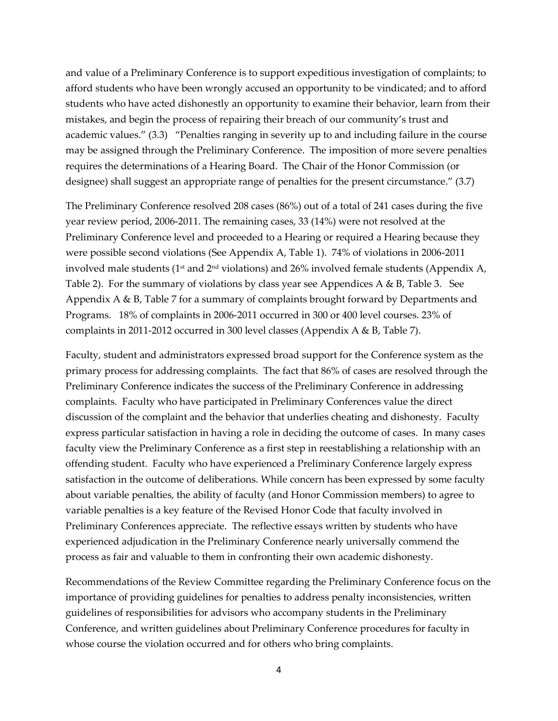and value of a Preliminary Conference is to support expeditious investigation of complaints; to afford students who have been wrongly accused an opportunity to be vindicated; and to afford students who have acted dishonestly an opportunity to examine their behavior, learn from their mistakes, and begin the process of repairing their breach of our community's trust and academic values." (3.3) "Penalties ranging in severity up to and including failure in the course may be assigned through the Preliminary Conference. The imposition of more severe penalties requires the determinations of a Hearing Board. The Chair of the Honor Commission (or designee) shall suggest an appropriate range of penalties for the present circumstance." (3.7)

The Preliminary Conference resolved 208 cases (86%) out of a total of 241 cases during the five year review period, 2006-2011. The remaining cases, 33 (14%) were not resolved at the Preliminary Conference level and proceeded to a Hearing or required a Hearing because they were possible second violations (See Appendix A, Table 1). 74% of violations in 2006-2011 involved male students ( $1<sup>st</sup>$  and  $2<sup>nd</sup>$  violations) and 26% involved female students (Appendix A, Table 2). For the summary of violations by class year see Appendices A & B, Table 3. See Appendix A & B, Table 7 for a summary of complaints brought forward by Departments and Programs. 18% of complaints in 2006-2011 occurred in 300 or 400 level courses. 23% of complaints in 2011-2012 occurred in 300 level classes (Appendix A & B, Table 7).

Faculty, student and administrators expressed broad support for the Conference system as the primary process for addressing complaints. The fact that 86% of cases are resolved through the Preliminary Conference indicates the success of the Preliminary Conference in addressing complaints. Faculty who have participated in Preliminary Conferences value the direct discussion of the complaint and the behavior that underlies cheating and dishonesty. Faculty express particular satisfaction in having a role in deciding the outcome of cases. In many cases faculty view the Preliminary Conference as a first step in reestablishing a relationship with an offending student. Faculty who have experienced a Preliminary Conference largely express satisfaction in the outcome of deliberations. While concern has been expressed by some faculty about variable penalties, the ability of faculty (and Honor Commission members) to agree to variable penalties is a key feature of the Revised Honor Code that faculty involved in Preliminary Conferences appreciate. The reflective essays written by students who have experienced adjudication in the Preliminary Conference nearly universally commend the process as fair and valuable to them in confronting their own academic dishonesty.

Recommendations of the Review Committee regarding the Preliminary Conference focus on the importance of providing guidelines for penalties to address penalty inconsistencies, written guidelines of responsibilities for advisors who accompany students in the Preliminary Conference, and written guidelines about Preliminary Conference procedures for faculty in whose course the violation occurred and for others who bring complaints.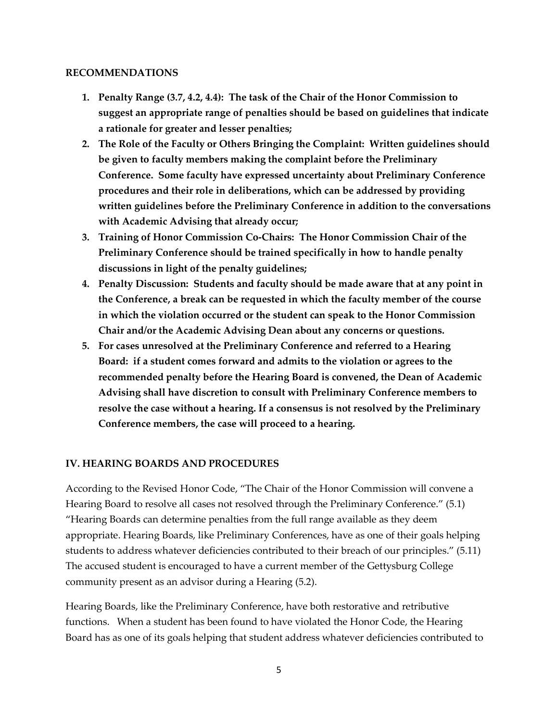#### **RECOMMENDATIONS**

- **1. Penalty Range (3.7, 4.2, 4.4): The task of the Chair of the Honor Commission to suggest an appropriate range of penalties should be based on guidelines that indicate a rationale for greater and lesser penalties;**
- **2. The Role of the Faculty or Others Bringing the Complaint: Written guidelines should be given to faculty members making the complaint before the Preliminary Conference. Some faculty have expressed uncertainty about Preliminary Conference procedures and their role in deliberations, which can be addressed by providing written guidelines before the Preliminary Conference in addition to the conversations with Academic Advising that already occur;**
- **3. Training of Honor Commission Co-Chairs: The Honor Commission Chair of the Preliminary Conference should be trained specifically in how to handle penalty discussions in light of the penalty guidelines;**
- **4. Penalty Discussion: Students and faculty should be made aware that at any point in the Conference, a break can be requested in which the faculty member of the course in which the violation occurred or the student can speak to the Honor Commission Chair and/or the Academic Advising Dean about any concerns or questions.**
- **5. For cases unresolved at the Preliminary Conference and referred to a Hearing Board: if a student comes forward and admits to the violation or agrees to the recommended penalty before the Hearing Board is convened, the Dean of Academic Advising shall have discretion to consult with Preliminary Conference members to resolve the case without a hearing. If a consensus is not resolved by the Preliminary Conference members, the case will proceed to a hearing.**

### **IV. HEARING BOARDS AND PROCEDURES**

According to the Revised Honor Code, "The Chair of the Honor Commission will convene a Hearing Board to resolve all cases not resolved through the Preliminary Conference." (5.1) "Hearing Boards can determine penalties from the full range available as they deem appropriate. Hearing Boards, like Preliminary Conferences, have as one of their goals helping students to address whatever deficiencies contributed to their breach of our principles." (5.11) The accused student is encouraged to have a current member of the Gettysburg College community present as an advisor during a Hearing (5.2).

Hearing Boards, like the Preliminary Conference, have both restorative and retributive functions. When a student has been found to have violated the Honor Code, the Hearing Board has as one of its goals helping that student address whatever deficiencies contributed to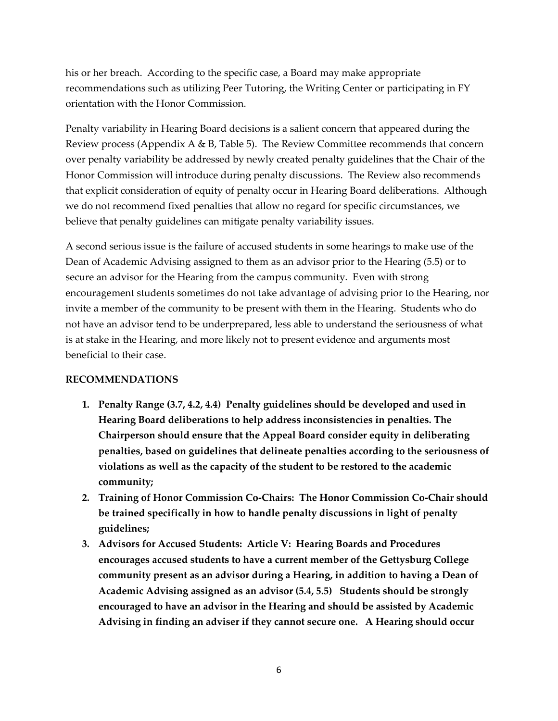his or her breach. According to the specific case, a Board may make appropriate recommendations such as utilizing Peer Tutoring, the Writing Center or participating in FY orientation with the Honor Commission.

Penalty variability in Hearing Board decisions is a salient concern that appeared during the Review process (Appendix A & B, Table 5). The Review Committee recommends that concern over penalty variability be addressed by newly created penalty guidelines that the Chair of the Honor Commission will introduce during penalty discussions. The Review also recommends that explicit consideration of equity of penalty occur in Hearing Board deliberations. Although we do not recommend fixed penalties that allow no regard for specific circumstances, we believe that penalty guidelines can mitigate penalty variability issues.

A second serious issue is the failure of accused students in some hearings to make use of the Dean of Academic Advising assigned to them as an advisor prior to the Hearing (5.5) or to secure an advisor for the Hearing from the campus community. Even with strong encouragement students sometimes do not take advantage of advising prior to the Hearing, nor invite a member of the community to be present with them in the Hearing. Students who do not have an advisor tend to be underprepared, less able to understand the seriousness of what is at stake in the Hearing, and more likely not to present evidence and arguments most beneficial to their case.

### **RECOMMENDATIONS**

- **1. Penalty Range (3.7, 4.2, 4.4) Penalty guidelines should be developed and used in Hearing Board deliberations to help address inconsistencies in penalties. The Chairperson should ensure that the Appeal Board consider equity in deliberating penalties, based on guidelines that delineate penalties according to the seriousness of violations as well as the capacity of the student to be restored to the academic community;**
- **2. Training of Honor Commission Co-Chairs: The Honor Commission Co-Chair should be trained specifically in how to handle penalty discussions in light of penalty guidelines;**
- **3. Advisors for Accused Students: Article V: Hearing Boards and Procedures encourages accused students to have a current member of the Gettysburg College community present as an advisor during a Hearing, in addition to having a Dean of Academic Advising assigned as an advisor (5.4, 5.5) Students should be strongly encouraged to have an advisor in the Hearing and should be assisted by Academic Advising in finding an adviser if they cannot secure one. A Hearing should occur**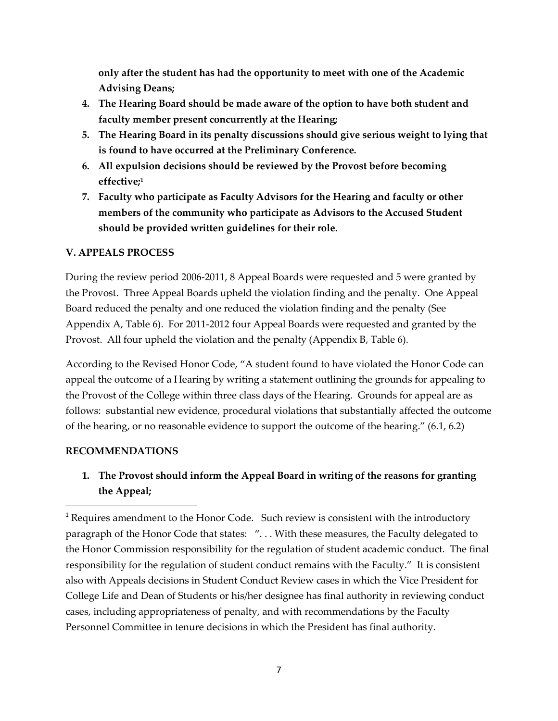**only after the student has had the opportunity to meet with one of the Academic Advising Deans;** 

- **4. The Hearing Board should be made aware of the option to have both student and faculty member present concurrently at the Hearing;**
- **5. The Hearing Board in its penalty discussions should give serious weight to lying that is found to have occurred at the Preliminary Conference.**
- **6. All expulsion decisions should be reviewed by the Provost before becoming effective;<sup>1</sup>**
- **7. Faculty who participate as Faculty Advisors for the Hearing and faculty or other members of the community who participate as Advisors to the Accused Student should be provided written guidelines for their role.**

### **V. APPEALS PROCESS**

During the review period 2006-2011, 8 Appeal Boards were requested and 5 were granted by the Provost. Three Appeal Boards upheld the violation finding and the penalty. One Appeal Board reduced the penalty and one reduced the violation finding and the penalty (See Appendix A, Table 6). For 2011-2012 four Appeal Boards were requested and granted by the Provost. All four upheld the violation and the penalty (Appendix B, Table 6).

According to the Revised Honor Code, "A student found to have violated the Honor Code can appeal the outcome of a Hearing by writing a statement outlining the grounds for appealing to the Provost of the College within three class days of the Hearing. Grounds for appeal are as follows: substantial new evidence, procedural violations that substantially affected the outcome of the hearing, or no reasonable evidence to support the outcome of the hearing." (6.1, 6.2)

### **RECOMMENDATIONS**

 $\overline{\phantom{a}}$ 

## **1. The Provost should inform the Appeal Board in writing of the reasons for granting the Appeal;**

<sup>&</sup>lt;sup>1</sup> Requires amendment to the Honor Code. Such review is consistent with the introductory paragraph of the Honor Code that states: "... With these measures, the Faculty delegated to the Honor Commission responsibility for the regulation of student academic conduct. The final responsibility for the regulation of student conduct remains with the Faculty." It is consistent also with Appeals decisions in Student Conduct Review cases in which the Vice President for College Life and Dean of Students or his/her designee has final authority in reviewing conduct cases, including appropriateness of penalty, and with recommendations by the Faculty Personnel Committee in tenure decisions in which the President has final authority.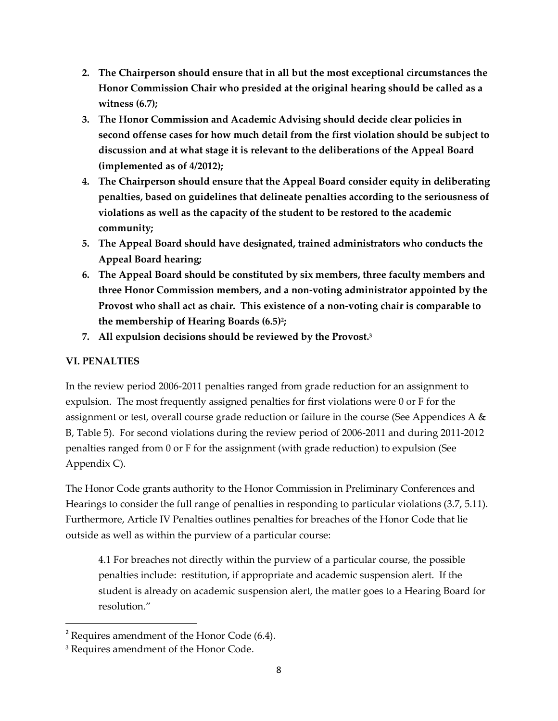- **2. The Chairperson should ensure that in all but the most exceptional circumstances the Honor Commission Chair who presided at the original hearing should be called as a witness (6.7);**
- **3. The Honor Commission and Academic Advising should decide clear policies in second offense cases for how much detail from the first violation should be subject to discussion and at what stage it is relevant to the deliberations of the Appeal Board (implemented as of 4/2012);**
- **4. The Chairperson should ensure that the Appeal Board consider equity in deliberating penalties, based on guidelines that delineate penalties according to the seriousness of violations as well as the capacity of the student to be restored to the academic community;**
- **5. The Appeal Board should have designated, trained administrators who conducts the Appeal Board hearing;**
- **6. The Appeal Board should be constituted by six members, three faculty members and three Honor Commission members, and a non-voting administrator appointed by the Provost who shall act as chair. This existence of a non-voting chair is comparable to the membership of Hearing Boards (6.5) 2 ;**
- **7. All expulsion decisions should be reviewed by the Provost. 3**

### **VI. PENALTIES**

l

In the review period 2006-2011 penalties ranged from grade reduction for an assignment to expulsion. The most frequently assigned penalties for first violations were 0 or F for the assignment or test, overall course grade reduction or failure in the course (See Appendices A & B, Table 5). For second violations during the review period of 2006-2011 and during 2011-2012 penalties ranged from 0 or F for the assignment (with grade reduction) to expulsion (See Appendix C).

The Honor Code grants authority to the Honor Commission in Preliminary Conferences and Hearings to consider the full range of penalties in responding to particular violations (3.7, 5.11). Furthermore, Article IV Penalties outlines penalties for breaches of the Honor Code that lie outside as well as within the purview of a particular course:

4.1 For breaches not directly within the purview of a particular course, the possible penalties include: restitution, if appropriate and academic suspension alert. If the student is already on academic suspension alert, the matter goes to a Hearing Board for resolution."

 $2$  Requires amendment of the Honor Code  $(6.4)$ .

<sup>3</sup> Requires amendment of the Honor Code.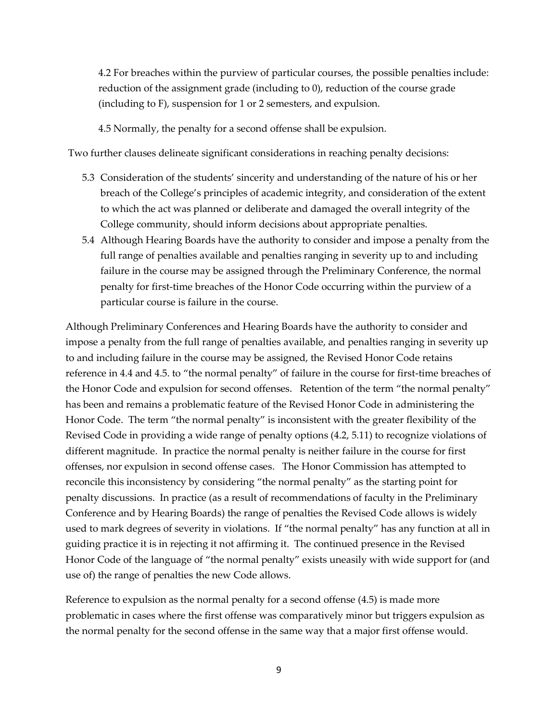4.2 For breaches within the purview of particular courses, the possible penalties include: reduction of the assignment grade (including to 0), reduction of the course grade (including to F), suspension for 1 or 2 semesters, and expulsion.

4.5 Normally, the penalty for a second offense shall be expulsion.

Two further clauses delineate significant considerations in reaching penalty decisions:

- 5.3 Consideration of the students' sincerity and understanding of the nature of his or her breach of the College's principles of academic integrity, and consideration of the extent to which the act was planned or deliberate and damaged the overall integrity of the College community, should inform decisions about appropriate penalties.
- 5.4 Although Hearing Boards have the authority to consider and impose a penalty from the full range of penalties available and penalties ranging in severity up to and including failure in the course may be assigned through the Preliminary Conference, the normal penalty for first-time breaches of the Honor Code occurring within the purview of a particular course is failure in the course.

Although Preliminary Conferences and Hearing Boards have the authority to consider and impose a penalty from the full range of penalties available, and penalties ranging in severity up to and including failure in the course may be assigned, the Revised Honor Code retains reference in 4.4 and 4.5. to "the normal penalty" of failure in the course for first-time breaches of the Honor Code and expulsion for second offenses. Retention of the term "the normal penalty" has been and remains a problematic feature of the Revised Honor Code in administering the Honor Code. The term "the normal penalty" is inconsistent with the greater flexibility of the Revised Code in providing a wide range of penalty options (4.2, 5.11) to recognize violations of different magnitude. In practice the normal penalty is neither failure in the course for first offenses, nor expulsion in second offense cases. The Honor Commission has attempted to reconcile this inconsistency by considering "the normal penalty" as the starting point for penalty discussions. In practice (as a result of recommendations of faculty in the Preliminary Conference and by Hearing Boards) the range of penalties the Revised Code allows is widely used to mark degrees of severity in violations. If "the normal penalty" has any function at all in guiding practice it is in rejecting it not affirming it. The continued presence in the Revised Honor Code of the language of "the normal penalty" exists uneasily with wide support for (and use of) the range of penalties the new Code allows.

Reference to expulsion as the normal penalty for a second offense (4.5) is made more problematic in cases where the first offense was comparatively minor but triggers expulsion as the normal penalty for the second offense in the same way that a major first offense would.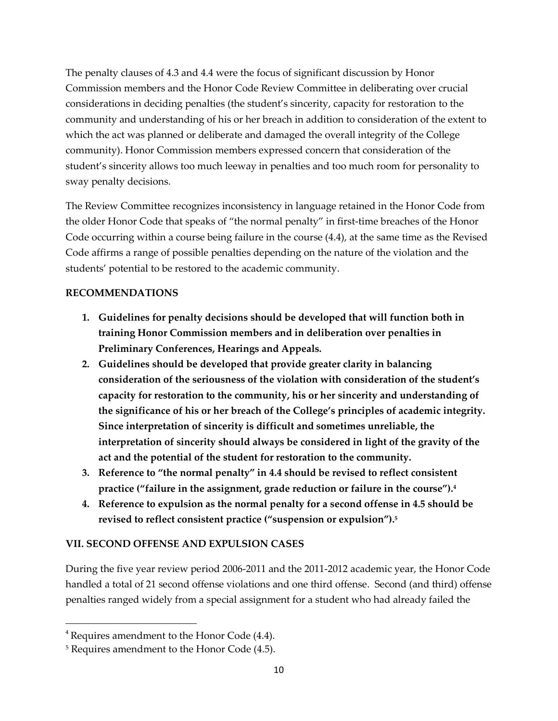The penalty clauses of 4.3 and 4.4 were the focus of significant discussion by Honor Commission members and the Honor Code Review Committee in deliberating over crucial considerations in deciding penalties (the student's sincerity, capacity for restoration to the community and understanding of his or her breach in addition to consideration of the extent to which the act was planned or deliberate and damaged the overall integrity of the College community). Honor Commission members expressed concern that consideration of the student's sincerity allows too much leeway in penalties and too much room for personality to sway penalty decisions.

The Review Committee recognizes inconsistency in language retained in the Honor Code from the older Honor Code that speaks of "the normal penalty" in first-time breaches of the Honor Code occurring within a course being failure in the course (4.4), at the same time as the Revised Code affirms a range of possible penalties depending on the nature of the violation and the students' potential to be restored to the academic community.

### **RECOMMENDATIONS**

- **1. Guidelines for penalty decisions should be developed that will function both in training Honor Commission members and in deliberation over penalties in Preliminary Conferences, Hearings and Appeals.**
- **2. Guidelines should be developed that provide greater clarity in balancing consideration of the seriousness of the violation with consideration of the student's capacity for restoration to the community, his or her sincerity and understanding of the significance of his or her breach of the College's principles of academic integrity. Since interpretation of sincerity is difficult and sometimes unreliable, the interpretation of sincerity should always be considered in light of the gravity of the act and the potential of the student for restoration to the community.**
- **3. Reference to "the normal penalty" in 4.4 should be revised to reflect consistent practice ("failure in the assignment, grade reduction or failure in the course").<sup>4</sup>**
- **4. Reference to expulsion as the normal penalty for a second offense in 4.5 should be revised to reflect consistent practice ("suspension or expulsion").<sup>5</sup>**

### **VII. SECOND OFFENSE AND EXPULSION CASES**

During the five year review period 2006-2011 and the 2011-2012 academic year, the Honor Code handled a total of 21 second offense violations and one third offense. Second (and third) offense penalties ranged widely from a special assignment for a student who had already failed the

l

<sup>4</sup> Requires amendment to the Honor Code (4.4).

<sup>5</sup> Requires amendment to the Honor Code (4.5).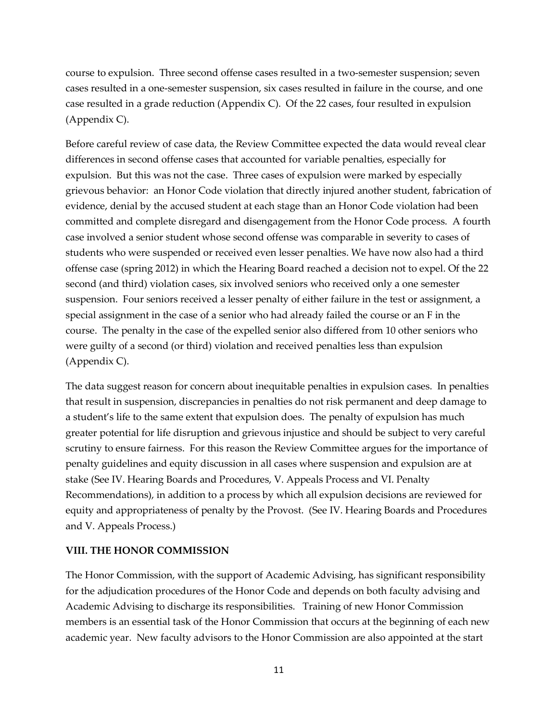course to expulsion. Three second offense cases resulted in a two-semester suspension; seven cases resulted in a one-semester suspension, six cases resulted in failure in the course, and one case resulted in a grade reduction (Appendix C). Of the 22 cases, four resulted in expulsion (Appendix C).

Before careful review of case data, the Review Committee expected the data would reveal clear differences in second offense cases that accounted for variable penalties, especially for expulsion. But this was not the case. Three cases of expulsion were marked by especially grievous behavior: an Honor Code violation that directly injured another student, fabrication of evidence, denial by the accused student at each stage than an Honor Code violation had been committed and complete disregard and disengagement from the Honor Code process. A fourth case involved a senior student whose second offense was comparable in severity to cases of students who were suspended or received even lesser penalties. We have now also had a third offense case (spring 2012) in which the Hearing Board reached a decision not to expel. Of the 22 second (and third) violation cases, six involved seniors who received only a one semester suspension. Four seniors received a lesser penalty of either failure in the test or assignment, a special assignment in the case of a senior who had already failed the course or an F in the course. The penalty in the case of the expelled senior also differed from 10 other seniors who were guilty of a second (or third) violation and received penalties less than expulsion (Appendix C).

The data suggest reason for concern about inequitable penalties in expulsion cases. In penalties that result in suspension, discrepancies in penalties do not risk permanent and deep damage to a student's life to the same extent that expulsion does. The penalty of expulsion has much greater potential for life disruption and grievous injustice and should be subject to very careful scrutiny to ensure fairness. For this reason the Review Committee argues for the importance of penalty guidelines and equity discussion in all cases where suspension and expulsion are at stake (See IV. Hearing Boards and Procedures, V. Appeals Process and VI. Penalty Recommendations), in addition to a process by which all expulsion decisions are reviewed for equity and appropriateness of penalty by the Provost. (See IV. Hearing Boards and Procedures and V. Appeals Process.)

#### **VIII. THE HONOR COMMISSION**

The Honor Commission, with the support of Academic Advising, has significant responsibility for the adjudication procedures of the Honor Code and depends on both faculty advising and Academic Advising to discharge its responsibilities. Training of new Honor Commission members is an essential task of the Honor Commission that occurs at the beginning of each new academic year. New faculty advisors to the Honor Commission are also appointed at the start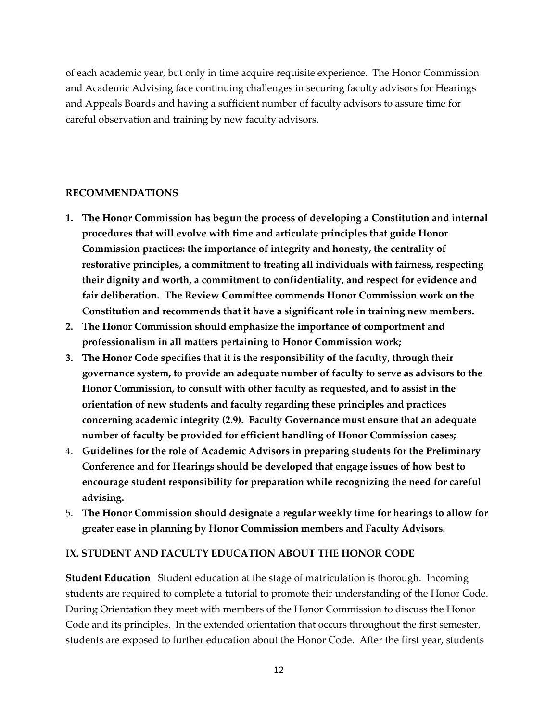of each academic year, but only in time acquire requisite experience. The Honor Commission and Academic Advising face continuing challenges in securing faculty advisors for Hearings and Appeals Boards and having a sufficient number of faculty advisors to assure time for careful observation and training by new faculty advisors.

#### **RECOMMENDATIONS**

- **1. The Honor Commission has begun the process of developing a Constitution and internal procedures that will evolve with time and articulate principles that guide Honor Commission practices: the importance of integrity and honesty, the centrality of restorative principles, a commitment to treating all individuals with fairness, respecting their dignity and worth, a commitment to confidentiality, and respect for evidence and fair deliberation. The Review Committee commends Honor Commission work on the Constitution and recommends that it have a significant role in training new members.**
- **2. The Honor Commission should emphasize the importance of comportment and professionalism in all matters pertaining to Honor Commission work;**
- **3. The Honor Code specifies that it is the responsibility of the faculty, through their governance system, to provide an adequate number of faculty to serve as advisors to the Honor Commission, to consult with other faculty as requested, and to assist in the orientation of new students and faculty regarding these principles and practices concerning academic integrity (2.9). Faculty Governance must ensure that an adequate number of faculty be provided for efficient handling of Honor Commission cases;**
- 4. **Guidelines for the role of Academic Advisors in preparing students for the Preliminary Conference and for Hearings should be developed that engage issues of how best to encourage student responsibility for preparation while recognizing the need for careful advising.**
- 5. **The Honor Commission should designate a regular weekly time for hearings to allow for greater ease in planning by Honor Commission members and Faculty Advisors.**

#### **IX. STUDENT AND FACULTY EDUCATION ABOUT THE HONOR CODE**

**Student Education** Student education at the stage of matriculation is thorough. Incoming students are required to complete a tutorial to promote their understanding of the Honor Code. During Orientation they meet with members of the Honor Commission to discuss the Honor Code and its principles. In the extended orientation that occurs throughout the first semester, students are exposed to further education about the Honor Code. After the first year, students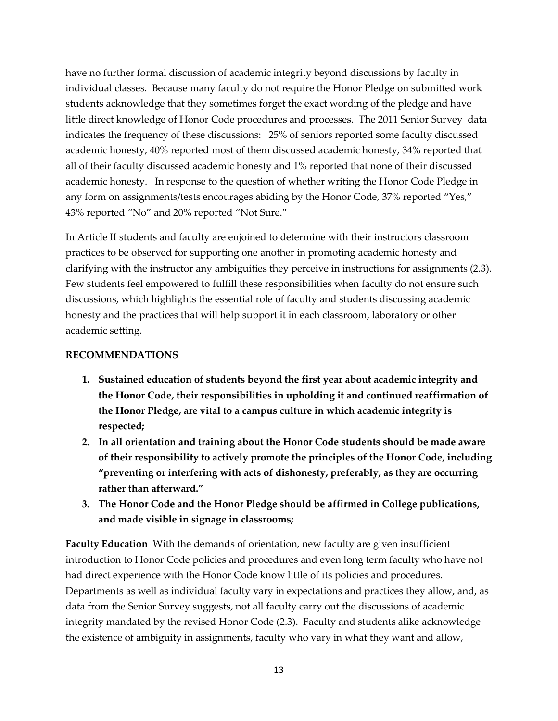have no further formal discussion of academic integrity beyond discussions by faculty in individual classes. Because many faculty do not require the Honor Pledge on submitted work students acknowledge that they sometimes forget the exact wording of the pledge and have little direct knowledge of Honor Code procedures and processes. The 2011 Senior Survey data indicates the frequency of these discussions: 25% of seniors reported some faculty discussed academic honesty, 40% reported most of them discussed academic honesty, 34% reported that all of their faculty discussed academic honesty and 1% reported that none of their discussed academic honesty. In response to the question of whether writing the Honor Code Pledge in any form on assignments/tests encourages abiding by the Honor Code, 37% reported "Yes," 43% reported "No" and 20% reported "Not Sure."

In Article II students and faculty are enjoined to determine with their instructors classroom practices to be observed for supporting one another in promoting academic honesty and clarifying with the instructor any ambiguities they perceive in instructions for assignments (2.3). Few students feel empowered to fulfill these responsibilities when faculty do not ensure such discussions, which highlights the essential role of faculty and students discussing academic honesty and the practices that will help support it in each classroom, laboratory or other academic setting.

### **RECOMMENDATIONS**

- **1. Sustained education of students beyond the first year about academic integrity and the Honor Code, their responsibilities in upholding it and continued reaffirmation of the Honor Pledge, are vital to a campus culture in which academic integrity is respected;**
- **2. In all orientation and training about the Honor Code students should be made aware of their responsibility to actively promote the principles of the Honor Code, including "preventing or interfering with acts of dishonesty, preferably, as they are occurring rather than afterward."**
- **3. The Honor Code and the Honor Pledge should be affirmed in College publications, and made visible in signage in classrooms;**

**Faculty Education** With the demands of orientation, new faculty are given insufficient introduction to Honor Code policies and procedures and even long term faculty who have not had direct experience with the Honor Code know little of its policies and procedures. Departments as well as individual faculty vary in expectations and practices they allow, and, as data from the Senior Survey suggests, not all faculty carry out the discussions of academic integrity mandated by the revised Honor Code (2.3). Faculty and students alike acknowledge the existence of ambiguity in assignments, faculty who vary in what they want and allow,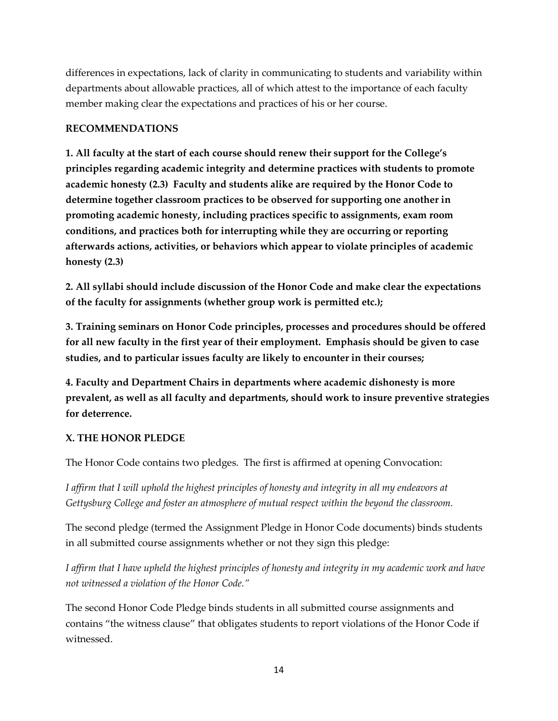differences in expectations, lack of clarity in communicating to students and variability within departments about allowable practices, all of which attest to the importance of each faculty member making clear the expectations and practices of his or her course.

### **RECOMMENDATIONS**

**1. All faculty at the start of each course should renew their support for the College's principles regarding academic integrity and determine practices with students to promote academic honesty (2.3) Faculty and students alike are required by the Honor Code to determine together classroom practices to be observed for supporting one another in promoting academic honesty, including practices specific to assignments, exam room conditions, and practices both for interrupting while they are occurring or reporting afterwards actions, activities, or behaviors which appear to violate principles of academic honesty (2.3)**

**2. All syllabi should include discussion of the Honor Code and make clear the expectations of the faculty for assignments (whether group work is permitted etc.);** 

**3. Training seminars on Honor Code principles, processes and procedures should be offered for all new faculty in the first year of their employment. Emphasis should be given to case studies, and to particular issues faculty are likely to encounter in their courses;** 

**4. Faculty and Department Chairs in departments where academic dishonesty is more prevalent, as well as all faculty and departments, should work to insure preventive strategies for deterrence.**

### **X. THE HONOR PLEDGE**

The Honor Code contains two pledges. The first is affirmed at opening Convocation:

*I affirm that I will uphold the highest principles of honesty and integrity in all my endeavors at Gettysburg College and foster an atmosphere of mutual respect within the beyond the classroom.*

The second pledge (termed the Assignment Pledge in Honor Code documents) binds students in all submitted course assignments whether or not they sign this pledge:

*I affirm that I have upheld the highest principles of honesty and integrity in my academic work and have not witnessed a violation of the Honor Code."* 

The second Honor Code Pledge binds students in all submitted course assignments and contains "the witness clause" that obligates students to report violations of the Honor Code if witnessed.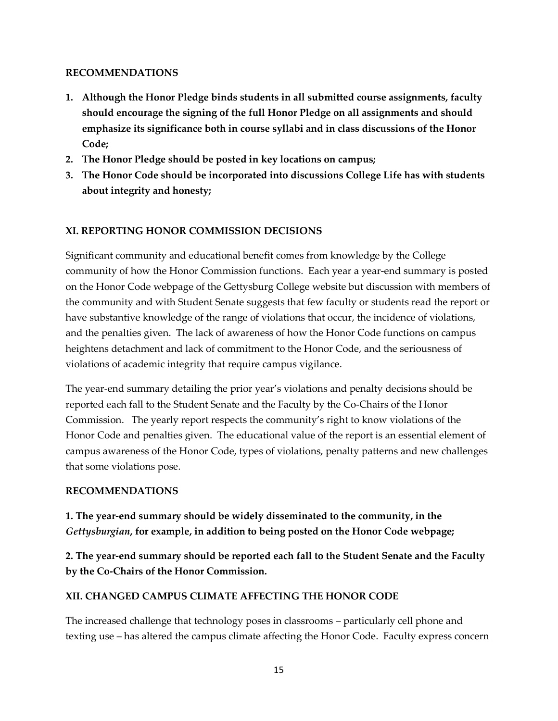### **RECOMMENDATIONS**

- **1. Although the Honor Pledge binds students in all submitted course assignments, faculty should encourage the signing of the full Honor Pledge on all assignments and should emphasize its significance both in course syllabi and in class discussions of the Honor Code;**
- **2. The Honor Pledge should be posted in key locations on campus;**
- **3. The Honor Code should be incorporated into discussions College Life has with students about integrity and honesty;**

### **XI. REPORTING HONOR COMMISSION DECISIONS**

Significant community and educational benefit comes from knowledge by the College community of how the Honor Commission functions. Each year a year-end summary is posted on the Honor Code webpage of the Gettysburg College website but discussion with members of the community and with Student Senate suggests that few faculty or students read the report or have substantive knowledge of the range of violations that occur, the incidence of violations, and the penalties given. The lack of awareness of how the Honor Code functions on campus heightens detachment and lack of commitment to the Honor Code, and the seriousness of violations of academic integrity that require campus vigilance.

The year-end summary detailing the prior year's violations and penalty decisions should be reported each fall to the Student Senate and the Faculty by the Co-Chairs of the Honor Commission. The yearly report respects the community's right to know violations of the Honor Code and penalties given. The educational value of the report is an essential element of campus awareness of the Honor Code, types of violations, penalty patterns and new challenges that some violations pose.

### **RECOMMENDATIONS**

**1. The year-end summary should be widely disseminated to the community, in the**  *Gettysburgian***, for example, in addition to being posted on the Honor Code webpage;** 

**2. The year-end summary should be reported each fall to the Student Senate and the Faculty by the Co-Chairs of the Honor Commission.**

### **XII. CHANGED CAMPUS CLIMATE AFFECTING THE HONOR CODE**

The increased challenge that technology poses in classrooms – particularly cell phone and texting use – has altered the campus climate affecting the Honor Code. Faculty express concern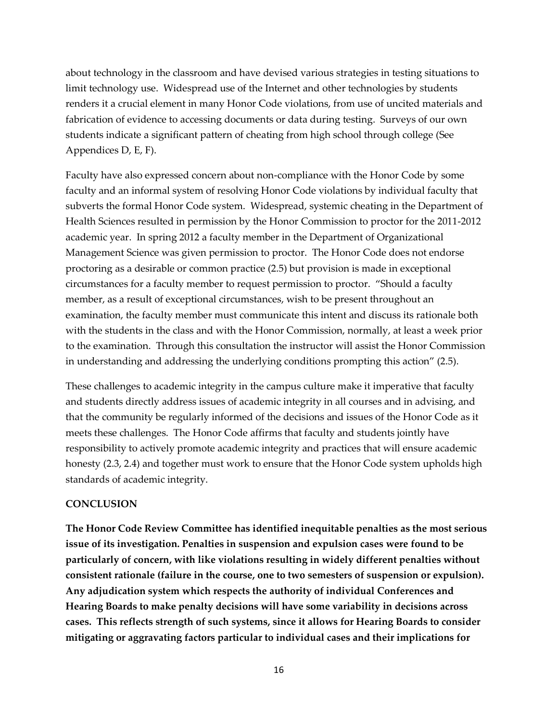about technology in the classroom and have devised various strategies in testing situations to limit technology use. Widespread use of the Internet and other technologies by students renders it a crucial element in many Honor Code violations, from use of uncited materials and fabrication of evidence to accessing documents or data during testing. Surveys of our own students indicate a significant pattern of cheating from high school through college (See Appendices D, E, F).

Faculty have also expressed concern about non-compliance with the Honor Code by some faculty and an informal system of resolving Honor Code violations by individual faculty that subverts the formal Honor Code system. Widespread, systemic cheating in the Department of Health Sciences resulted in permission by the Honor Commission to proctor for the 2011-2012 academic year. In spring 2012 a faculty member in the Department of Organizational Management Science was given permission to proctor. The Honor Code does not endorse proctoring as a desirable or common practice (2.5) but provision is made in exceptional circumstances for a faculty member to request permission to proctor. "Should a faculty member, as a result of exceptional circumstances, wish to be present throughout an examination, the faculty member must communicate this intent and discuss its rationale both with the students in the class and with the Honor Commission, normally, at least a week prior to the examination. Through this consultation the instructor will assist the Honor Commission in understanding and addressing the underlying conditions prompting this action" (2.5).

These challenges to academic integrity in the campus culture make it imperative that faculty and students directly address issues of academic integrity in all courses and in advising, and that the community be regularly informed of the decisions and issues of the Honor Code as it meets these challenges. The Honor Code affirms that faculty and students jointly have responsibility to actively promote academic integrity and practices that will ensure academic honesty (2.3, 2.4) and together must work to ensure that the Honor Code system upholds high standards of academic integrity.

#### **CONCLUSION**

**The Honor Code Review Committee has identified inequitable penalties as the most serious issue of its investigation. Penalties in suspension and expulsion cases were found to be particularly of concern, with like violations resulting in widely different penalties without consistent rationale (failure in the course, one to two semesters of suspension or expulsion). Any adjudication system which respects the authority of individual Conferences and Hearing Boards to make penalty decisions will have some variability in decisions across cases. This reflects strength of such systems, since it allows for Hearing Boards to consider mitigating or aggravating factors particular to individual cases and their implications for**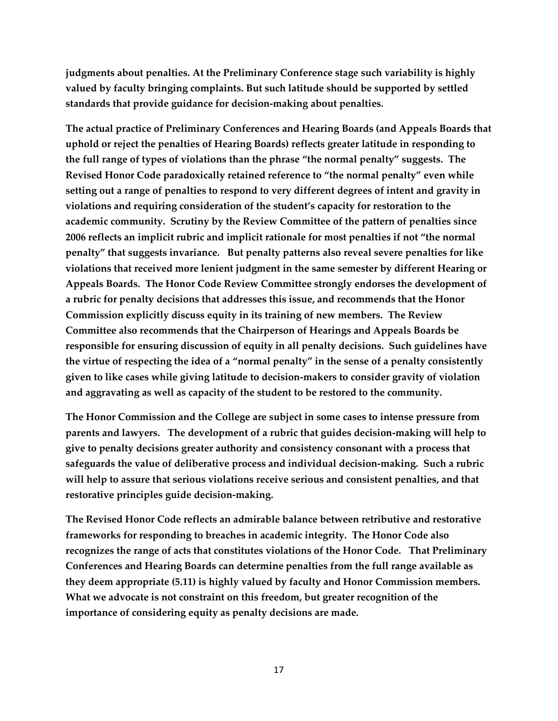**judgments about penalties. At the Preliminary Conference stage such variability is highly valued by faculty bringing complaints. But such latitude should be supported by settled standards that provide guidance for decision-making about penalties.**

**The actual practice of Preliminary Conferences and Hearing Boards (and Appeals Boards that uphold or reject the penalties of Hearing Boards) reflects greater latitude in responding to the full range of types of violations than the phrase "the normal penalty" suggests. The Revised Honor Code paradoxically retained reference to "the normal penalty" even while setting out a range of penalties to respond to very different degrees of intent and gravity in violations and requiring consideration of the student's capacity for restoration to the academic community. Scrutiny by the Review Committee of the pattern of penalties since 2006 reflects an implicit rubric and implicit rationale for most penalties if not "the normal penalty" that suggests invariance. But penalty patterns also reveal severe penalties for like violations that received more lenient judgment in the same semester by different Hearing or Appeals Boards. The Honor Code Review Committee strongly endorses the development of a rubric for penalty decisions that addresses this issue, and recommends that the Honor Commission explicitly discuss equity in its training of new members. The Review Committee also recommends that the Chairperson of Hearings and Appeals Boards be responsible for ensuring discussion of equity in all penalty decisions. Such guidelines have the virtue of respecting the idea of a "normal penalty" in the sense of a penalty consistently given to like cases while giving latitude to decision-makers to consider gravity of violation and aggravating as well as capacity of the student to be restored to the community.**

**The Honor Commission and the College are subject in some cases to intense pressure from parents and lawyers. The development of a rubric that guides decision-making will help to give to penalty decisions greater authority and consistency consonant with a process that safeguards the value of deliberative process and individual decision-making. Such a rubric will help to assure that serious violations receive serious and consistent penalties, and that restorative principles guide decision-making.** 

**The Revised Honor Code reflects an admirable balance between retributive and restorative frameworks for responding to breaches in academic integrity. The Honor Code also recognizes the range of acts that constitutes violations of the Honor Code. That Preliminary Conferences and Hearing Boards can determine penalties from the full range available as they deem appropriate (5.11) is highly valued by faculty and Honor Commission members. What we advocate is not constraint on this freedom, but greater recognition of the importance of considering equity as penalty decisions are made.**